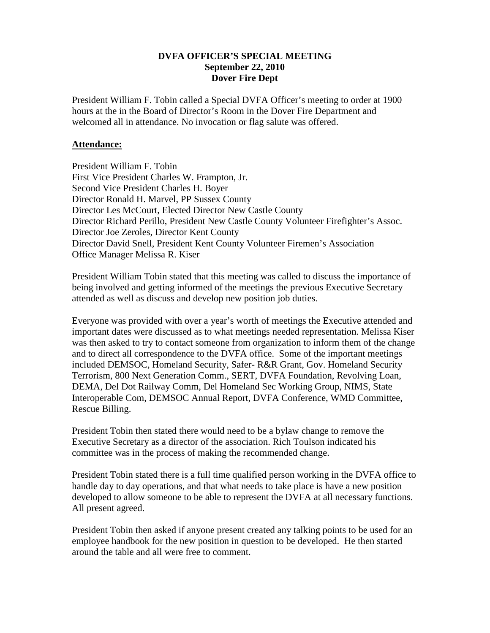## **DVFA OFFICER'S SPECIAL MEETING September 22, 2010 Dover Fire Dept**

President William F. Tobin called a Special DVFA Officer's meeting to order at 1900 hours at the in the Board of Director's Room in the Dover Fire Department and welcomed all in attendance. No invocation or flag salute was offered.

## **Attendance:**

President William F. Tobin First Vice President Charles W. Frampton, Jr. Second Vice President Charles H. Boyer Director Ronald H. Marvel, PP Sussex County Director Les McCourt, Elected Director New Castle County Director Richard Perillo, President New Castle County Volunteer Firefighter's Assoc. Director Joe Zeroles, Director Kent County Director David Snell, President Kent County Volunteer Firemen's Association Office Manager Melissa R. Kiser

President William Tobin stated that this meeting was called to discuss the importance of being involved and getting informed of the meetings the previous Executive Secretary attended as well as discuss and develop new position job duties.

Everyone was provided with over a year's worth of meetings the Executive attended and important dates were discussed as to what meetings needed representation. Melissa Kiser was then asked to try to contact someone from organization to inform them of the change and to direct all correspondence to the DVFA office. Some of the important meetings included DEMSOC, Homeland Security, Safer- R&R Grant, Gov. Homeland Security Terrorism, 800 Next Generation Comm., SERT, DVFA Foundation, Revolving Loan, DEMA, Del Dot Railway Comm, Del Homeland Sec Working Group, NIMS, State Interoperable Com, DEMSOC Annual Report, DVFA Conference, WMD Committee, Rescue Billing.

President Tobin then stated there would need to be a bylaw change to remove the Executive Secretary as a director of the association. Rich Toulson indicated his committee was in the process of making the recommended change.

President Tobin stated there is a full time qualified person working in the DVFA office to handle day to day operations, and that what needs to take place is have a new position developed to allow someone to be able to represent the DVFA at all necessary functions. All present agreed.

President Tobin then asked if anyone present created any talking points to be used for an employee handbook for the new position in question to be developed. He then started around the table and all were free to comment.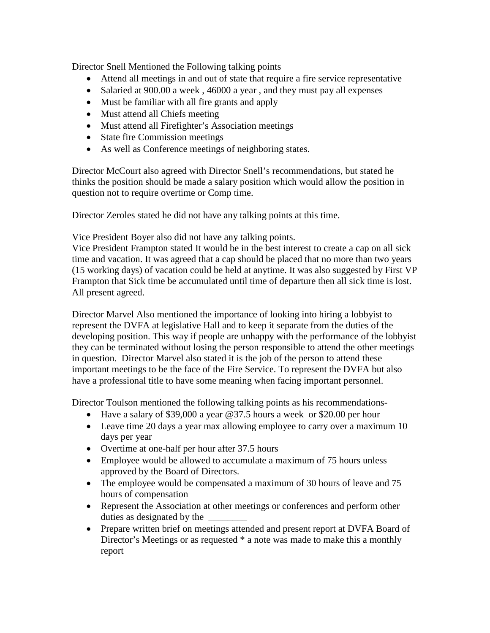Director Snell Mentioned the Following talking points

- Attend all meetings in and out of state that require a fire service representative
- Salaried at 900.00 a week, 46000 a year, and they must pay all expenses
- Must be familiar with all fire grants and apply
- Must attend all Chiefs meeting
- Must attend all Firefighter's Association meetings
- State fire Commission meetings
- As well as Conference meetings of neighboring states.

Director McCourt also agreed with Director Snell's recommendations, but stated he thinks the position should be made a salary position which would allow the position in question not to require overtime or Comp time.

Director Zeroles stated he did not have any talking points at this time.

Vice President Boyer also did not have any talking points.

Vice President Frampton stated It would be in the best interest to create a cap on all sick time and vacation. It was agreed that a cap should be placed that no more than two years (15 working days) of vacation could be held at anytime. It was also suggested by First VP Frampton that Sick time be accumulated until time of departure then all sick time is lost. All present agreed.

Director Marvel Also mentioned the importance of looking into hiring a lobbyist to represent the DVFA at legislative Hall and to keep it separate from the duties of the developing position. This way if people are unhappy with the performance of the lobbyist they can be terminated without losing the person responsible to attend the other meetings in question. Director Marvel also stated it is the job of the person to attend these important meetings to be the face of the Fire Service. To represent the DVFA but also have a professional title to have some meaning when facing important personnel.

Director Toulson mentioned the following talking points as his recommendations-

- Have a salary of \$39,000 a year @37.5 hours a week or \$20.00 per hour
- Leave time 20 days a year max allowing employee to carry over a maximum 10 days per year
- Overtime at one-half per hour after 37.5 hours
- Employee would be allowed to accumulate a maximum of 75 hours unless approved by the Board of Directors.
- The employee would be compensated a maximum of 30 hours of leave and 75 hours of compensation
- Represent the Association at other meetings or conferences and perform other duties as designated by the  $\overline{\phantom{a}}$
- Prepare written brief on meetings attended and present report at DVFA Board of Director's Meetings or as requested \* a note was made to make this a monthly report